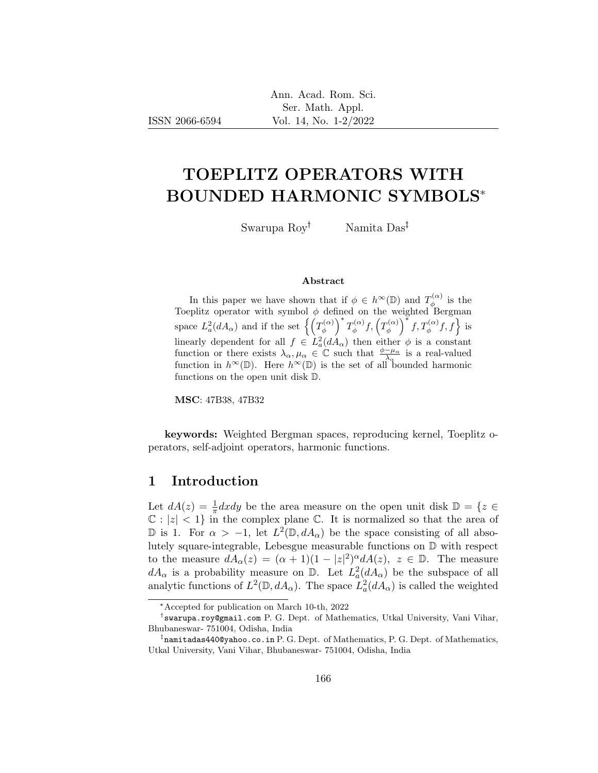# TOEPLITZ OPERATORS WITH BOUNDED HARMONIC SYMBOLS\*

Swarupa  $\text{Row}^{\dagger}$  Namita  $\text{Das}^{\dagger}$ 

#### Abstract

In this paper we have shown that if  $\phi \in h^{\infty}(\mathbb{D})$  and  $T_a^{(\alpha)}$  $\phi^{(\alpha)}$  is the Toeplitz operator with symbol  $\phi$  defined on the weighted Bergman space  $L^2_a(dA_\alpha)$  and if the set  $\left\{\left(T^{(\alpha)}_\phi\right)$  $\left(\begin{matrix} \alpha \\ \phi \end{matrix}\right)^* T_{\phi}^{(\alpha)}$  $f^{(\alpha)}_\phi f, \left(T^{(\alpha)}_\phi\right)$  $\left(\begin{matrix} \alpha \\ \phi \end{matrix}\right)^* f, T_{\phi}^{(\alpha)} f, f$  is linearly dependent for all  $f \in L^2_a(dA_\alpha)$  then either  $\phi$  is a constant function or there exists  $\lambda_{\alpha}, \mu_{\alpha} \in \mathbb{C}$  such that  $\frac{\phi - \mu_{\alpha}}{\lambda_{\alpha}}$  is a real-valued function in  $h^{\infty}(\mathbb{D})$ . Here  $h^{\infty}(\mathbb{D})$  is the set of all bounded harmonic functions on the open unit disk D.

MSC: 47B38, 47B32

keywords: Weighted Bergman spaces, reproducing kernel, Toeplitz operators, self-adjoint operators, harmonic functions.

## 1 Introduction

Let  $dA(z) = \frac{1}{\pi}dxdy$  be the area measure on the open unit disk  $\mathbb{D} = \{z \in$  $\mathbb{C}: |z| < 1$  in the complex plane  $\mathbb{C}$ . It is normalized so that the area of  $\mathbb D$  is 1. For α > −1, let  $L^2(\mathbb D, dA_\alpha)$  be the space consisting of all absolutely square-integrable, Lebesgue measurable functions on D with respect to the measure  $dA_{\alpha}(z) = (\alpha + 1)(1 - |z|^2)^{\alpha} dA(z)$ ,  $z \in \mathbb{D}$ . The measure  $dA_{\alpha}$  is a probability measure on  $\mathbb{D}$ . Let  $L^2_a(dA_{\alpha})$  be the subspace of all analytic functions of  $L^2(\mathbb{D}, dA_\alpha)$ . The space  $L^2_a(dA_\alpha)$  is called the weighted

<sup>\*</sup>Accepted for publication on March 10-th, 2022

swarupa.roy@gmail.com P. G. Dept. of Mathematics, Utkal University, Vani Vihar, Bhubaneswar- 751004, Odisha, India

 $^\ddag$ namitadas440@yahoo.co.in P. G. Dept. of Mathematics, P. G. Dept. of Mathematics, Utkal University, Vani Vihar, Bhubaneswar- 751004, Odisha, India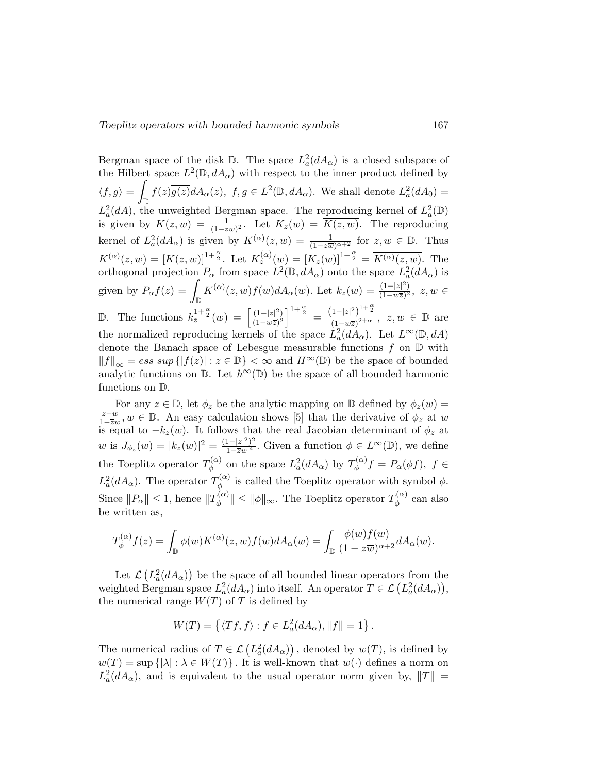Bergman space of the disk  $\mathbb{D}$ . The space  $L^2_a(dA_\alpha)$  is a closed subspace of the Hilbert space  $L^2(\mathbb{D}, dA_\alpha)$  with respect to the inner product defined by  $\langle f, g \rangle =$  $\int_{\mathbb{D}} f(z) \overline{g(z)} dA_{\alpha}(z)$ ,  $f, g \in L^2(\mathbb{D}, dA_{\alpha})$ . We shall denote  $L^2_a(dA_0) =$  $L^2_a(dA)$ , the unweighted Bergman space. The reproducing kernel of  $L^2_a(\mathbb{D})$ is given by  $K(z, w) = \frac{1}{(1 - z\overline{w})^2}$ . Let  $K_z(w) = \overline{K(z, w)}$ . The reproducing kernel of  $L^2_a(dA_\alpha)$  is given by  $K^{(\alpha)}(z,w) = \frac{1}{(1-z\overline{w})^{\alpha+2}}$  for  $z, w \in \mathbb{D}$ . Thus  $K^{(\alpha)}(z,w) = [K(z,w)]^{1+\frac{\alpha}{2}}$ . Let  $K_z^{(\alpha)}(w) = [K_z(w)]^{1+\frac{\alpha}{2}} = \overline{K^{(\alpha)}(z,w)}$ . The orthogonal projection  $P_{\alpha}$  from space  $L^2(\mathbb{D}, dA_{\alpha})$  onto the space  $L^2_a(dA_{\alpha})$  is given by  $P_{\alpha} f(z) = \int_{\mathbb{D}} K^{(\alpha)}(z, w) f(w) dA_{\alpha}(w)$ . Let  $k_z(w) = \frac{(1-|z|^2)}{(1-w\overline{z})^2}$  $\frac{(1-|z|^2)}{(1-w\overline{z})^2}, z, w$  ∈ D. The functions  $k_z^{1+\frac{\alpha}{2}}(w) = \left[\frac{(1-|z|^2)}{(1-w\overline{z})^2}\right]$  $\frac{(1-|z|^2)}{(1-w\overline{z})^2}$   $\Big]$   $\frac{1+\frac{\alpha}{2}}{2}$   $\Big]$   $\frac{(1-|z|^2)^{1+\frac{\alpha}{2}}}{(1-w\overline{z})^{2+\alpha}}$  $\frac{1-|z|^2}{(1-w\overline{z})^{2+\alpha}}, z, w \in \mathbb{D}$  are the normalized reproducing kernels of the space  $\hat{L}_a^2(dA_\alpha)$ . Let  $L^\infty(\mathbb{D}, dA)$ denote the Banach space of Lebesgue measurable functions  $f$  on  $D$  with  $||f||_{\infty} = \text{ess sup } \{|f(z)| : z \in \mathbb{D}\} < \infty$  and  $H^{\infty}(\mathbb{D})$  be the space of bounded analytic functions on  $\mathbb{D}$ . Let  $h^{\infty}(\mathbb{D})$  be the space of all bounded harmonic functions on D.

For any  $z \in \mathbb{D}$ , let  $\phi_z$  be the analytic mapping on  $\mathbb{D}$  defined by  $\phi_z(w) =$ z−w  $\frac{z-w}{1-\overline{z}w}$ ,  $w \in \mathbb{D}$ . An easy calculation shows [5] that the derivative of  $\phi_z$  at w is equal to  $-k_z(w)$ . It follows that the real Jacobian determinant of  $\phi_z$  at w is  $J_{\phi_z}(w) = |k_z(w)|^2 = \frac{(1-|z|^2)^2}{|1-\overline{z}w|^4}$  $\frac{(1-|z|^2)^2}{|1-\overline{z}w|^4}$ . Given a function  $\phi \in L^{\infty}(\mathbb{D})$ , we define the Toeplitz operator  $T_A^{(\alpha)}$  $\psi_{\phi}^{(\alpha)}$  on the space  $L^2_a(dA_{\alpha})$  by  $T_{\phi}^{(\alpha)}$  $\phi_{\phi}^{(\alpha)}f=P_{\alpha}(\phi f),\;f\in$  $L^2_a(dA_\alpha)$ . The operator  $T^{(\alpha)}_\phi$  $\phi_{\phi}^{(\alpha)}$  is called the Toeplitz operator with symbol  $\phi$ . Since  $||P_{\alpha}|| \leq 1$ , hence  $||T_{\phi}^{(\alpha)}||$  $\|\psi^{(\alpha)}_{\phi}\| \leq \|\phi\|_{\infty}$ . The Toeplitz operator  $T_{\phi}^{(\alpha)}$  $\phi^{(\alpha)}$  can also be written as,

$$
T_{\phi}^{(\alpha)}f(z) = \int_{\mathbb{D}} \phi(w)K^{(\alpha)}(z,w)f(w)dA_{\alpha}(w) = \int_{\mathbb{D}} \frac{\phi(w)f(w)}{(1-z\overline{w})^{\alpha+2}}dA_{\alpha}(w).
$$

Let  $\mathcal{L}\left(L_a^2(dA_\alpha)\right)$  be the space of all bounded linear operators from the weighted Bergman space  $L^2_a(dA_\alpha)$  into itself. An operator  $T \in \mathcal{L}\left(L^2_a(dA_\alpha)\right)$ , the numerical range  $W(T)$  of T is defined by

$$
W(T) = \left\{ \langle Tf, f \rangle : f \in L^2_a(dA_\alpha), ||f|| = 1 \right\}.
$$

The numerical radius of  $T \in \mathcal{L}\left(L_a^2(dA_\alpha)\right)$ , denoted by  $w(T)$ , is defined by  $w(T) = \sup \{ |\lambda| : \lambda \in W(T) \}$ . It is well-known that  $w(\cdot)$  defines a norm on  $L^2_a(dA_\alpha)$ , and is equivalent to the usual operator norm given by,  $||T|| =$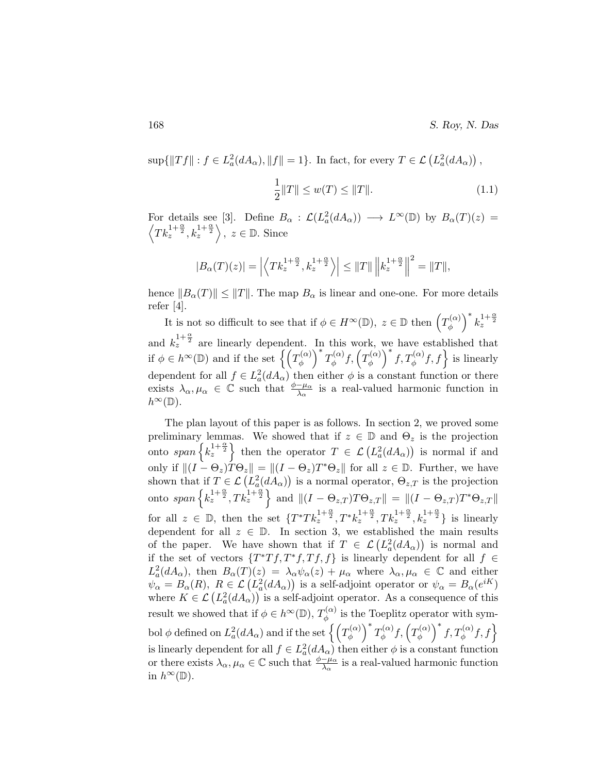$\sup\{\|Tf\|: f\in L^2_a(dA_\alpha), \|f\|=1\}.$  In fact, for every  $T\in\mathcal{L}\left(L^2_a(dA_\alpha)\right)$ ,

$$
\frac{1}{2}||T|| \le w(T) \le ||T||. \tag{1.1}
$$

For details see [3]. Define  $B_{\alpha} : \mathcal{L}(L^2_a(dA_{\alpha})) \longrightarrow L^{\infty}(\mathbb{D})$  by  $B_{\alpha}(T)(z) =$  $\left\langle Tk_z^{1+\frac{\alpha}{2}}, k_z^{1+\frac{\alpha}{2}} \right\rangle, z \in \mathbb{D}$ . Since

$$
|B_{\alpha}(T)(z)| = \left| \left\langle T k_z^{1+\frac{\alpha}{2}}, k_z^{1+\frac{\alpha}{2}} \right\rangle \right| \le ||T|| \left\| k_z^{1+\frac{\alpha}{2}} \right\|^2 = ||T||,
$$

hence  $||B_{\alpha}(T)|| \le ||T||$ . The map  $B_{\alpha}$  is linear and one-one. For more details refer [4].

It is not so difficult to see that if  $\phi \in H^{\infty}(\mathbb{D}), \ z \in \mathbb{D}$  then  $\left( T_{\phi}^{(\alpha)} \right)$  $\left(\begin{matrix} \alpha \\ \phi \end{matrix}\right)^* k_z^{1+\frac{\alpha}{2}}$ and  $k_z^{1+\frac{\alpha}{2}}$  are linearly dependent. In this work, we have established that if  $\phi \in h^{\infty}(\mathbb{D})$  and if the set  $\left\{ \left( T_{\phi}^{(\alpha)} \right)$  $\left(\begin{matrix} \alpha \\ \phi \end{matrix}\right)^* T_{\phi}^{(\alpha)}$  $f^{(\alpha)}_\phi f,\left(T^{(\alpha)}_\phi\right)$  $\left\{\phi^{(\alpha)}\right\}^* f, T_{\phi}^{(\alpha)} f, f$  is linearly dependent for all  $f \in L^2_a(dA_\alpha)$  then either  $\phi$  is a constant function or there exists  $\lambda_{\alpha}, \mu_{\alpha} \in \mathbb{C}$  such that  $\frac{\phi - \mu_{\alpha}}{\lambda_{\alpha}}$  is a real-valued harmonic function in  $h^{\infty}(\mathbb{D}).$ 

The plan layout of this paper is as follows. In section 2, we proved some preliminary lemmas. We showed that if  $z \in \mathbb{D}$  and  $\Theta_z$  is the projection onto span  $\left\{ k_z^{1+\frac{\alpha}{2}} \right\}$  then the operator  $T \in \mathcal{L}\left( L_a^2(dA_\alpha) \right)$  is normal if and only if  $||(I - \Theta_z)\dot{T}\Theta_z|| = ||(I - \Theta_z)T^*\Theta_z||$  for all  $z \in \mathbb{D}$ . Further, we have shown that if  $T \in \mathcal{L}\left(L_a^2(dA_\alpha)\right)$  is a normal operator,  $\Theta_{z,T}$  is the projection onto  $span\left\{k_z^{1+\frac{\alpha}{2}}, Tk_z^{1+\frac{\alpha}{2}}\right\}$  and  $\|(I-\Theta_{z,T})T\Theta_{z,T}\| = \|(I-\Theta_{z,T})T^*\Theta_{z,T}\|$ for all  $z \in \mathbb{D}$ , then the set  $\{T^*Tk_z^{1+\frac{\alpha}{2}}, T^*k_z^{1+\frac{\alpha}{2}}, Tk_z^{1+\frac{\alpha}{2}}, k_z^{1+\frac{\alpha}{2}}\}$  is linearly dependent for all  $z \in \mathbb{D}$ . In section 3, we established the main results of the paper. We have shown that if  $T \in \mathcal{L}(L^2_a(dA_\alpha))$  is normal and if the set of vectors  $\{T^*Tf, T^*f, Tf, f\}$  is linearly dependent for all  $f \in$  $L^2_a(dA_\alpha)$ , then  $B_\alpha(T)(z) = \lambda_\alpha \psi_\alpha(z) + \mu_\alpha$  where  $\lambda_\alpha, \mu_\alpha \in \mathbb{C}$  and either  $\psi_{\alpha} = B_{\alpha}(R)$ ,  $R \in \mathcal{L}\left(L_a^2(dA_{\alpha})\right)$  is a self-adjoint operator or  $\psi_{\alpha} = B_{\alpha}(e^{iK})$ where  $K \in \mathcal{L}\left(L_a^2(dA_\alpha)\right)$  is a self-adjoint operator. As a consequence of this result we showed that if  $\phi \in h^{\infty}(\mathbb{D})$ ,  $T_{\phi}^{(\alpha)}$  $\phi_{\phi}^{(\alpha)}$  is the Toeplitz operator with symbol  $\phi$  defined on  $L^2_a(dA_{\alpha})$  and if the set  $\left\{\left(T^{(\alpha)}_{\phi}\right)$  $\left(\begin{matrix} \alpha \\ \phi \end{matrix}\right)^* T_{\phi}^{(\alpha)}$  $f^{(\alpha)}_\phi f,\left(T^{(\alpha)}_\phi\right)$  $\left\{ \phi^{(\alpha)} \right\}^* f, T_{\phi}^{(\alpha)} f, f$ is linearly dependent for all  $f \in L^2_a(dA_\alpha)$  then either  $\phi$  is a constant function or there exists  $\lambda_{\alpha}, \mu_{\alpha} \in \mathbb{C}$  such that  $\frac{\phi - \mu_{\alpha}}{\lambda_{\alpha}}$  is a real-valued harmonic function in  $h^{\infty}(\mathbb{D})$ .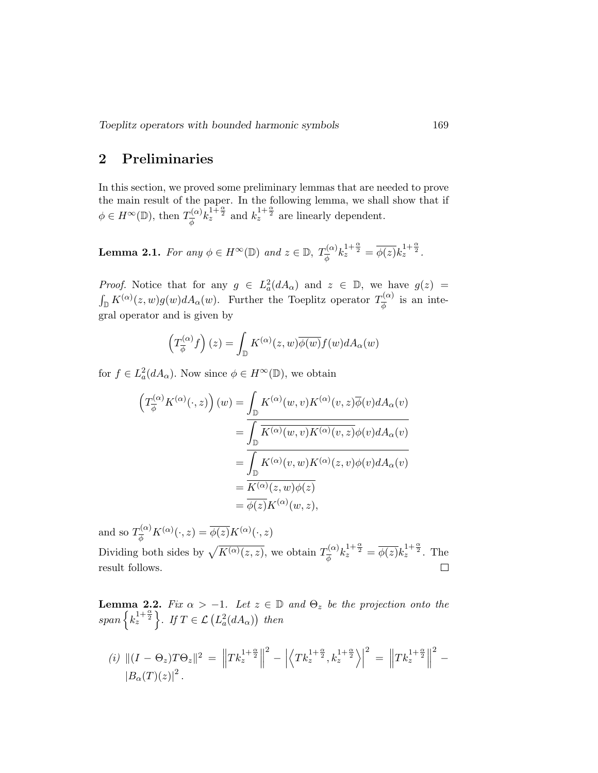Toeplitz operators with bounded harmonic symbols 169

# 2 Preliminaries

In this section, we proved some preliminary lemmas that are needed to prove the main result of the paper. In the following lemma, we shall show that if  $\phi \in H^{\infty}(\mathbb{D}), \text{ then } T_{\overline{A}}^{(\alpha)}$  $\frac{1}{\phi}(\alpha)$  $k_z^{1+\frac{\alpha}{2}}$  and  $k_z^{1+\frac{\alpha}{2}}$  are linearly dependent.

**Lemma 2.1.** For any  $\phi \in H^{\infty}(\mathbb{D})$  and  $z \in \mathbb{D}$ ,  $T_{\overline{\phi}}^{(\alpha)} k_z^{1+\frac{\alpha}{2}} = \overline{\phi(z)} k_z^{1+\frac{\alpha}{2}}$ .

*Proof.* Notice that for any  $g \in L^2_a(dA_\alpha)$  and  $z \in \mathbb{D}$ , we have  $g(z) =$  $\int_{\mathbb{D}} K^{(\alpha)}(z,w)g(w)dA_{\alpha}(w)$ . Further the Toeplitz operator  $T_{\overline{\phi}}^{(\alpha)}$  $\frac{\partial}{\phi}^{(\alpha)}$  is an integral operator and is given by

$$
\left(T_{\overline{\phi}}^{(\alpha)}f\right)(z) = \int_{\mathbb{D}} K^{(\alpha)}(z,w)\overline{\phi(w)}f(w)dA_{\alpha}(w)
$$

for  $f \in L^2_a(dA_\alpha)$ . Now since  $\phi \in H^\infty(\mathbb{D})$ , we obtain

$$
\left(T_{\overline{\phi}}^{(\alpha)} K^{(\alpha)}(\cdot, z)\right)(w) = \int_{\mathbb{D}} K^{(\alpha)}(w, v) K^{(\alpha)}(v, z) \overline{\phi}(v) dA_{\alpha}(v)
$$

$$
= \overline{\int_{\mathbb{D}} K^{(\alpha)}(w, v) K^{(\alpha)}(v, z) \phi(v) dA_{\alpha}(v)}
$$

$$
= \overline{\int_{\mathbb{D}} K^{(\alpha)}(v, w) K^{(\alpha)}(z, v) \phi(v) dA_{\alpha}(v)}
$$

$$
= \overline{K^{(\alpha)}(z, w) \phi(z)}
$$

$$
= \overline{\phi(z)} K^{(\alpha)}(w, z),
$$

and so  $T_{\tau}^{(\alpha)}$  $\overline{\phi}^{(\alpha)}K^{(\alpha)}(\cdot,z)=\overline{\phi(z)}K^{(\alpha)}(\cdot,z)$  $\overline{\phi}^{(\alpha)} k_z^{1+\frac{\alpha}{2}} = \overline{\phi(z)} k_z^{1+\frac{\alpha}{2}}$ . The Dividing both sides by  $\sqrt{K^{(\alpha)}(z, z)}$ , we obtain  $T_{\tau}^{(\alpha)}$ result follows.  $\Box$ 

**Lemma 2.2.** Fix  $\alpha > -1$ . Let  $z \in \mathbb{D}$  and  $\Theta_z$  be the projection onto the span  $\left\{ k_{z}^{1+\frac{\alpha}{2}}\right\}$ . If  $T\in\mathcal{L}\left( L_{a}^{2}(dA_{\alpha})\right)$  then

(i) 
$$
||(I - \Theta_z)T\Theta_z||^2 = ||Tk_z^{1+\frac{\alpha}{2}}||^2 - \left| \left\langle Tk_z^{1+\frac{\alpha}{2}}, k_z^{1+\frac{\alpha}{2}} \right\rangle \right|^2 = ||Tk_z^{1+\frac{\alpha}{2}}||^2 - |B_{\alpha}(T)(z)|^2.
$$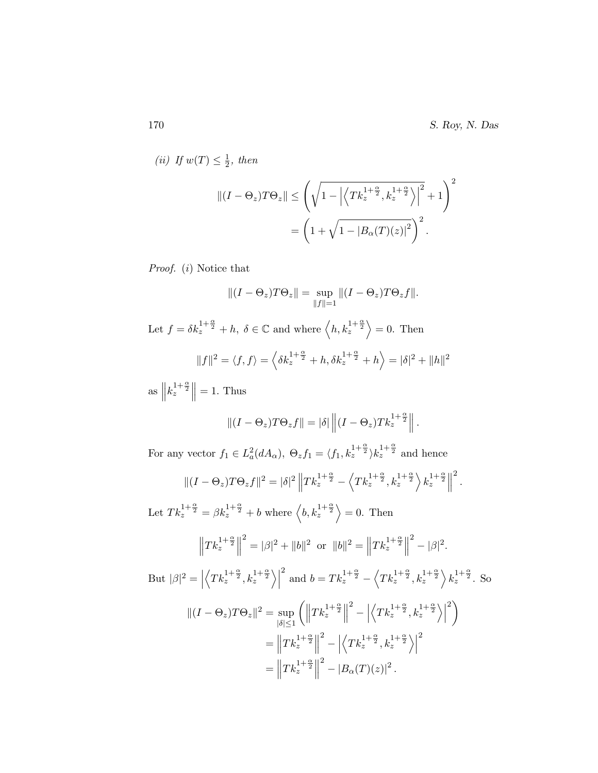(*ii*) If  $w(T) \leq \frac{1}{2}$  $\frac{1}{2}$ , then

$$
||(I - \Theta_z)T\Theta_z|| \leq \left(\sqrt{1 - \left|\left\langle Tk_z^{1 + \frac{\alpha}{2}}, k_z^{1 + \frac{\alpha}{2}}\right\rangle\right|^2} + 1\right)^2
$$

$$
= \left(1 + \sqrt{1 - \left|B_{\alpha}(T)(z)\right|^2}\right)^2.
$$

Proof. (i) Notice that

$$
||(I - \Theta_z)T\Theta_z|| = \sup_{||f||=1} ||(I - \Theta_z)T\Theta_z f||.
$$

Let  $f = \delta k_z^{\frac{1+\alpha}{2}} + h$ ,  $\delta \in \mathbb{C}$  and where  $\langle h, k_z^{\frac{1+\alpha}{2}} \rangle = 0$ . Then

$$
||f||^2 = \langle f, f \rangle = \left\langle \delta k_z^{1 + \frac{\alpha}{2}} + h, \delta k_z^{1 + \frac{\alpha}{2}} + h \right\rangle = |\delta|^2 + ||h||^2
$$

 $\text{as } \parallel$  $k_z^{1+\frac{\alpha}{2}}$  $= 1.$  Thus

$$
||(I - \Theta_z)T\Theta_z f|| = |\delta| \left\| (I - \Theta_z)Tk_z^{1+\frac{\alpha}{2}} \right\|.
$$

For any vector  $f_1 \in L_a^2(dA_\alpha)$ ,  $\Theta_z f_1 = \langle f_1, k_z^{1+\frac{\alpha}{2}} \rangle k_z^{1+\frac{\alpha}{2}}$  and hence

$$
\|(I-\Theta_z)T\Theta_zf\|^2=|\delta|^2\left\|Tk_z^{1+\frac{\alpha}{2}}-\left\langle Tk_z^{1+\frac{\alpha}{2}},k_z^{1+\frac{\alpha}{2}}\right\rangle k_z^{1+\frac{\alpha}{2}}\right\|^2.
$$

Let  $Tk_z^{1+\frac{\alpha}{2}} = \beta k_z^{1+\frac{\alpha}{2}} + b$  where  $\langle b, k_z^{1+\frac{\alpha}{2}} \rangle = 0$ . Then

$$
\left\|Tk_{z}^{1+\frac{\alpha}{2}}\right\|^{2} = |\beta|^{2} + \|b\|^{2} \text{ or } \|b\|^{2} = \left\|Tk_{z}^{1+\frac{\alpha}{2}}\right\|^{2} - |\beta|^{2}.
$$

But  $|\beta|^2 = |$  $\left\langle Tk_z^{1+\frac{\alpha}{2}}, k_z^{1+\frac{\alpha}{2}} \right\rangle$ <sup>2</sup> and  $b = Tk_z^{1+\frac{\alpha}{2}} - \langle Tk_z^{1+\frac{\alpha}{2}}, k_z^{1+\frac{\alpha}{2}} \rangle k_z^{1+\frac{\alpha}{2}}$ . So

$$
\begin{split} \|(I - \Theta_z)T\Theta_z\|^2 &= \sup_{|\delta| \le 1} \left( \left\| T k_z^{1 + \frac{\alpha}{2}} \right\|^2 - \left| \left\langle T k_z^{1 + \frac{\alpha}{2}} , k_z^{1 + \frac{\alpha}{2}} \right\rangle \right|^2 \right) \\ &= \left\| T k_z^{1 + \frac{\alpha}{2}} \right\|^2 - \left| \left\langle T k_z^{1 + \frac{\alpha}{2}} , k_z^{1 + \frac{\alpha}{2}} \right\rangle \right|^2 \\ &= \left\| T k_z^{1 + \frac{\alpha}{2}} \right\|^2 - |B_\alpha(T)(z)|^2 \,. \end{split}
$$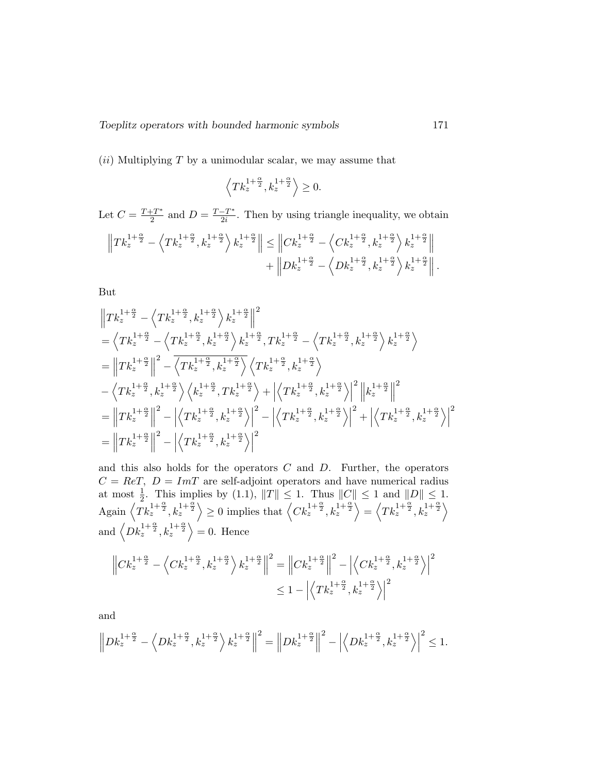$(ii)$  Multiplying T by a unimodular scalar, we may assume that

$$
\left\langle Tk_z^{1+\frac{\alpha}{2}}, k_z^{1+\frac{\alpha}{2}} \right\rangle \geq 0.
$$

Let  $C = \frac{T + T^*}{2}$  $\frac{1-T^*}{2}$  and  $D = \frac{T-T^*}{2i}$  $\frac{-T^*}{2i}$ . Then by using triangle inequality, we obtain

$$
\left\| T k_{z}^{1+\frac{\alpha}{2}} - \left\langle T k_{z}^{1+\frac{\alpha}{2}}, k_{z}^{1+\frac{\alpha}{2}} \right\rangle k_{z}^{1+\frac{\alpha}{2}} \right\| \leq \left\| C k_{z}^{1+\frac{\alpha}{2}} - \left\langle C k_{z}^{1+\frac{\alpha}{2}}, k_{z}^{1+\frac{\alpha}{2}} \right\rangle k_{z}^{1+\frac{\alpha}{2}} \right\| + \left\| D k_{z}^{1+\frac{\alpha}{2}} - \left\langle D k_{z}^{1+\frac{\alpha}{2}}, k_{z}^{1+\frac{\alpha}{2}} \right\rangle k_{z}^{1+\frac{\alpha}{2}} \right\|.
$$

But

$$
\begin{split} &\left\|Tk_{z}^{1+\frac{\alpha}{2}}-\left\langle Tk_{z}^{1+\frac{\alpha}{2}},k_{z}^{1+\frac{\alpha}{2}}\right\rangle k_{z}^{1+\frac{\alpha}{2}}\right\|^{2}\\ &=\left\langle Tk_{z}^{1+\frac{\alpha}{2}}-\left\langle Tk_{z}^{1+\frac{\alpha}{2}},k_{z}^{1+\frac{\alpha}{2}}\right\rangle k_{z}^{1+\frac{\alpha}{2}}, Tk_{z}^{1+\frac{\alpha}{2}}-\left\langle Tk_{z}^{1+\frac{\alpha}{2}},k_{z}^{1+\frac{\alpha}{2}}\right\rangle k_{z}^{1+\frac{\alpha}{2}}\right\rangle \\ &=\left\|Tk_{z}^{1+\frac{\alpha}{2}}\right\|^{2}-\left\langle Tk_{z}^{1+\frac{\alpha}{2}},k_{z}^{1+\frac{\alpha}{2}}\right\rangle\left\langle Tk_{z}^{1+\frac{\alpha}{2}},k_{z}^{1+\frac{\alpha}{2}}\right\rangle \\ &-\left\langle Tk_{z}^{1+\frac{\alpha}{2}},k_{z}^{1+\frac{\alpha}{2}}\right\rangle\left\langle k_{z}^{1+\frac{\alpha}{2}}, Tk_{z}^{1+\frac{\alpha}{2}}\right\rangle+\left\langle Tk_{z}^{1+\frac{\alpha}{2}},k_{z}^{1+\frac{\alpha}{2}}\right\rangle\right|^{2}\left\|k_{z}^{1+\frac{\alpha}{2}}\right\|^{2} \\ &=\left\|Tk_{z}^{1+\frac{\alpha}{2}}\right\|^{2}-\left\|\left\langle Tk_{z}^{1+\frac{\alpha}{2}},k_{z}^{1+\frac{\alpha}{2}}\right\rangle\right|^{2}-\left\|\left\langle Tk_{z}^{1+\frac{\alpha}{2}},k_{z}^{1+\frac{\alpha}{2}}\right\rangle\right|^{2}+\left\|\left\langle Tk_{z}^{1+\frac{\alpha}{2}},k_{z}^{1+\frac{\alpha}{2}}\right\rangle\right|^{2} \\ &=\left\|Tk_{z}^{1+\frac{\alpha}{2}}\right\|^{2}-\left\|\left\langle Tk_{z}^{1+\frac{\alpha}{2}},k_{z}^{1+\frac{\alpha}{2}}\right\rangle\right|^{2} \end{split}
$$

and this also holds for the operators  $C$  and  $D$ . Further, the operators  $C = ReT$ ,  $D = ImT$  are self-adjoint operators and have numerical radius at most  $\frac{1}{2}$ . This implies by (1.1),  $||T|| \leq 1$ . Thus  $||C|| \leq 1$  and  $||D|| \leq 1$ .  $\text{Again } \left\langle Tk_z^{1+\frac{\alpha}{2}}, k_z^{1+\frac{\alpha}{2}} \right\rangle \geq 0 \text{ implies that } \left\langle C k_z^{1+\frac{\alpha}{2}}, k_z^{1+\frac{\alpha}{2}} \right\rangle = \left\langle Tk_z^{1+\frac{\alpha}{2}}, k_z^{1+\frac{\alpha}{2}} \right\rangle$ and  $\langle Dk_z^{1+\frac{\alpha}{2}}, k_z^{1+\frac{\alpha}{2}} \rangle = 0$ . Hence

$$
\left\|Ck_{z}^{1+\frac{\alpha}{2}} - \left\langle Ck_{z}^{1+\frac{\alpha}{2}}, k_{z}^{1+\frac{\alpha}{2}} \right\rangle k_{z}^{1+\frac{\alpha}{2}}\right\|^{2} = \left\|Ck_{z}^{1+\frac{\alpha}{2}}\right\|^{2} - \left|\left\langle Ck_{z}^{1+\frac{\alpha}{2}}, k_{z}^{1+\frac{\alpha}{2}} \right\rangle\right|^{2}
$$
  

$$
\leq 1 - \left|\left\langle Tk_{z}^{1+\frac{\alpha}{2}}, k_{z}^{1+\frac{\alpha}{2}} \right\rangle\right|^{2}
$$

and

$$
\left\|Dk_z^{1+\frac{\alpha}{2}}-\left\langle Dk_z^{1+\frac{\alpha}{2}},k_z^{1+\frac{\alpha}{2}}\right\rangle k_z^{1+\frac{\alpha}{2}}\right\|^2=\left\|Dk_z^{1+\frac{\alpha}{2}}\right\|^2-\left|\left\langle Dk_z^{1+\frac{\alpha}{2}},k_z^{1+\frac{\alpha}{2}}\right\rangle\right|^2\leq 1.
$$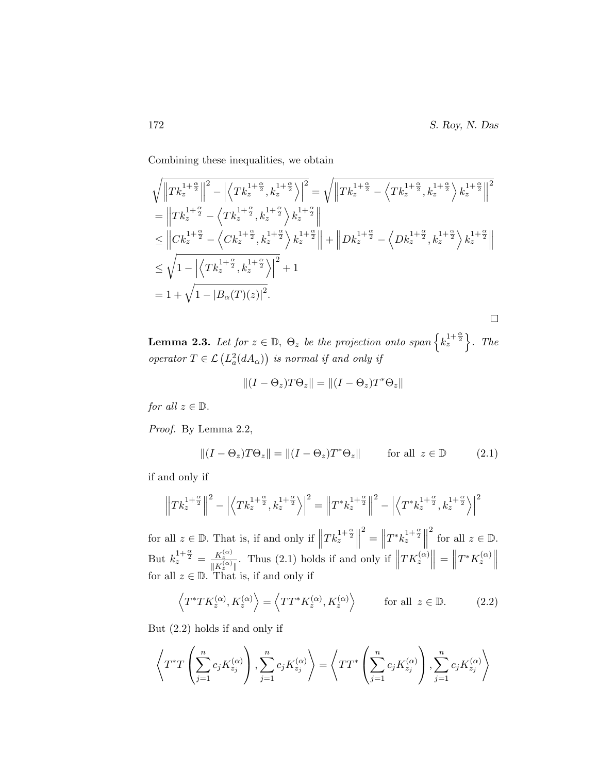Combining these inequalities, we obtain

$$
\sqrt{\left\|Tk_z^{1+\frac{\alpha}{2}}\right\|^2 - \left|\left\langle Tk_z^{1+\frac{\alpha}{2}}, k_z^{1+\frac{\alpha}{2}}\right\rangle\right|^2} = \sqrt{\left\|Tk_z^{1+\frac{\alpha}{2}} - \left\langle Tk_z^{1+\frac{\alpha}{2}}, k_z^{1+\frac{\alpha}{2}}\right\rangle k_z^{1+\frac{\alpha}{2}}\right\|^2}
$$
\n
$$
= \left\|Tk_z^{1+\frac{\alpha}{2}} - \left\langle Tk_z^{1+\frac{\alpha}{2}}, k_z^{1+\frac{\alpha}{2}}\right\rangle k_z^{1+\frac{\alpha}{2}}\right\|
$$
\n
$$
\leq \left\|Ck_z^{1+\frac{\alpha}{2}} - \left\langle Ck_z^{1+\frac{\alpha}{2}}, k_z^{1+\frac{\alpha}{2}}\right\rangle k_z^{1+\frac{\alpha}{2}}\right\| + \left\|Dk_z^{1+\frac{\alpha}{2}} - \left\langle Dk_z^{1+\frac{\alpha}{2}}, k_z^{1+\frac{\alpha}{2}}\right\rangle k_z^{1+\frac{\alpha}{2}}\right\|
$$
\n
$$
\leq \sqrt{1 - \left|\left\langle Tk_z^{1+\frac{\alpha}{2}}, k_z^{1+\frac{\alpha}{2}}\right\rangle\right|^2 + 1}
$$
\n
$$
= 1 + \sqrt{1 - |B_{\alpha}(T)(z)|^2}.
$$

**Lemma 2.3.** Let for  $z \in \mathbb{D}$ ,  $\Theta_z$  be the projection onto span  $\left\{k_z^{1+\frac{\alpha}{2}}\right\}$ . The operator  $T \in \mathcal{L}\left(L_a^2(dA_\alpha)\right)$  is normal if and only if

$$
\|(I-\Theta_z)T\Theta_z\|=\|(I-\Theta_z)T^*\Theta_z\|
$$

for all  $z \in \mathbb{D}$ .

Proof. By Lemma 2.2,

$$
||(I - \Theta_z)T\Theta_z|| = ||(I - \Theta_z)T^*\Theta_z|| \quad \text{for all } z \in \mathbb{D}
$$
 (2.1)

if and only if

$$
\left\| T k_z^{1+\frac{\alpha}{2}} \right\|^2 - \left| \left\langle T k_z^{1+\frac{\alpha}{2}}, k_z^{1+\frac{\alpha}{2}} \right\rangle \right|^2 = \left\| T^* k_z^{1+\frac{\alpha}{2}} \right\|^2 - \left| \left\langle T^* k_z^{1+\frac{\alpha}{2}}, k_z^{1+\frac{\alpha}{2}} \right\rangle \right|^2
$$

for all  $z \in \mathbb{D}$ . That is, if and only if  $\|\cdot\|$  $Tk_z^{1+\frac{\alpha}{2}}\Big\|$  $2^2 =$  $T^* k_z^{1+\frac{\alpha}{2}}$ <sup>2</sup> for all  $z \in \mathbb{D}$ . But  $k_z^{1+\frac{\alpha}{2}} = \frac{K_z^{(\alpha)}}{\ln K_z^{(\alpha)}}$  $\frac{K_z^{(\alpha)}}{\|K_z^{(\alpha)}\|}$ . Thus (2.1) holds if and only if  $\|$  $TK_z^{(\alpha)}\Big\| = \Big\|$ But  $k_z^{1+\frac{\alpha}{2}} = \frac{K_z^{(\alpha)}}{\|K_z^{(\alpha)}\|}$ . Thus (2.1) holds if and only if  $\left\|TK_z^{(\alpha)}\right\| = \left\|T^*K_z^{(\alpha)}\right\|$  for all  $z \in \mathbb{D}$ . That is, if and only if

$$
\left\langle T^*TK_z^{(\alpha)}, K_z^{(\alpha)} \right\rangle = \left\langle TT^*K_z^{(\alpha)}, K_z^{(\alpha)} \right\rangle \qquad \text{for all } z \in \mathbb{D}.
$$
 (2.2)

But (2.2) holds if and only if

$$
\left\langle T^*T\left(\sum_{j=1}^n c_j K_{z_j}^{(\alpha)}\right), \sum_{j=1}^n c_j K_{z_j}^{(\alpha)} \right\rangle = \left\langle TT^*\left(\sum_{j=1}^n c_j K_{z_j}^{(\alpha)}\right), \sum_{j=1}^n c_j K_{z_j}^{(\alpha)} \right\rangle
$$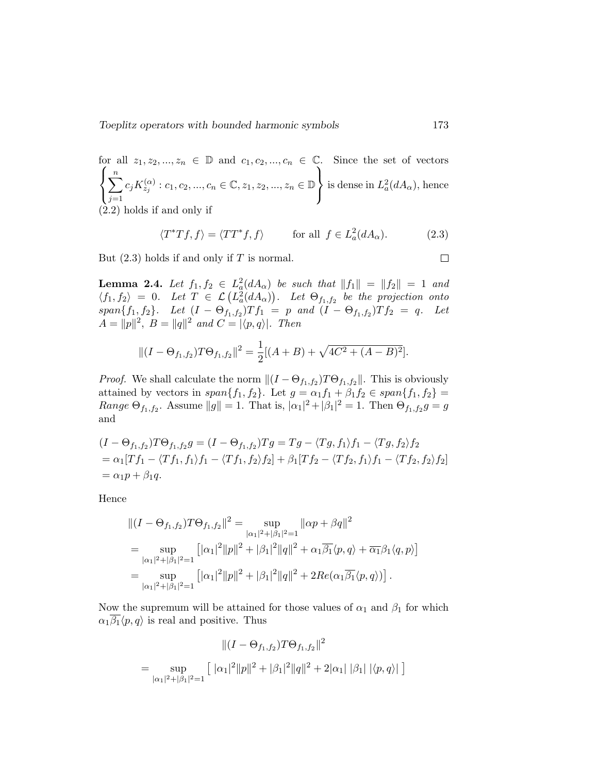Toeplitz operators with bounded harmonic symbols 173

for all 
$$
z_1, z_2, ..., z_n \in \mathbb{D}
$$
 and  $c_1, c_2, ..., c_n \in \mathbb{C}$ . Since the set of vectors\n
$$
\left\{\sum_{j=1}^n c_j K_{z_j}^{(\alpha)} : c_1, c_2, ..., c_n \in \mathbb{C}, z_1, z_2, ..., z_n \in \mathbb{D}\right\}
$$
\nis dense in  $L_a^2(dA_\alpha)$ , hence (2.2) holds if and only if

$$
\langle T^*Tf, f \rangle = \langle TT^*f, f \rangle \quad \text{for all } f \in L^2_a(dA_\alpha). \tag{2.3}
$$

But  $(2.3)$  holds if and only if T is normal.

**Lemma 2.4.** Let  $f_1, f_2 \in L^2_a(dA_\alpha)$  be such that  $||f_1|| = ||f_2|| = 1$  and **Lemma 2.4.** Let  $f_1, f_2 \in L_a(aA_\alpha)$  be such that  $||f_1|| = ||f_2|| = 1$  and  $\langle f_1, f_2 \rangle = 0$ . Let  $T \in \mathcal{L}(L_a^2(dA_\alpha))$ . Let  $\Theta_{f_1, f_2}$  be the projection onto  $span\{f_1, f_2\}.$  Let  $(I - \Theta_{f_1, f_2})Tf_1 = p$  and  $(I - \Theta_{f_1, f_2})Tf_2 = q$ . Let  $A = ||p||^2$ ,  $B = ||q||^2$  and  $C = |\langle p, q \rangle|$ . Then

$$
||(I - \Theta_{f_1, f_2})T\Theta_{f_1, f_2}||^2 = \frac{1}{2}[(A+B) + \sqrt{4C^2 + (A-B)^2}].
$$

*Proof.* We shall calculate the norm  $||(I - \Theta_{f_1,f_2})T\Theta_{f_1,f_2}||$ . This is obviously attained by vectors in  $span\{f_1, f_2\}$ . Let  $g = \alpha_1 f_1 + \beta_1 f_2 \in span\{f_1, f_2\}$ *Range*  $\Theta_{f_1, f_2}$ . Assume  $||g|| = 1$ . That is,  $|\alpha_1|^2 + |\beta_1|^2 = 1$ . Then  $\Theta_{f_1, f_2}g = g$ and

$$
(I - \Theta_{f_1, f_2})T\Theta_{f_1, f_2}g = (I - \Theta_{f_1, f_2})Tg = Tg - \langle Tg, f_1 \rangle f_1 - \langle Tg, f_2 \rangle f_2
$$
  
=  $\alpha_1[Tf_1 - \langle Tf_1, f_1 \rangle f_1 - \langle Tf_1, f_2 \rangle f_2] + \beta_1[Tf_2 - \langle Tf_2, f_1 \rangle f_1 - \langle Tf_2, f_2 \rangle f_2]$   
=  $\alpha_1 p + \beta_1 q$ .

Hence

$$
\begin{split} &\|(I - \Theta_{f_1, f_2})T\Theta_{f_1, f_2}\|^2 = \sup_{|\alpha_1|^2 + |\beta_1|^2 = 1} \|\alpha p + \beta q\|^2 \\ &= \sup_{|\alpha_1|^2 + |\beta_1|^2 = 1} \left[|\alpha_1|^2 \|p\|^2 + |\beta_1|^2 \|q\|^2 + \alpha_1 \overline{\beta_1} \langle p, q \rangle + \overline{\alpha_1} \beta_1 \langle q, p \rangle \right] \\ &= \sup_{|\alpha_1|^2 + |\beta_1|^2 = 1} \left[|\alpha_1|^2 \|p\|^2 + |\beta_1|^2 \|q\|^2 + 2Re(\alpha_1 \overline{\beta_1} \langle p, q \rangle) \right]. \end{split}
$$

Now the supremum will be attained for those values of  $\alpha_1$  and  $\beta_1$  for which  $\alpha_1 \overline{\beta_1} \langle p, q \rangle$  is real and positive. Thus

$$
\| (I - \Theta_{f_1, f_2}) T \Theta_{f_1, f_2} \|^2
$$
  
= 
$$
\sup_{|\alpha_1|^2 + |\beta_1|^2 = 1} \left[ |\alpha_1|^2 ||p||^2 + |\beta_1|^2 ||q||^2 + 2|\alpha_1| |\beta_1| |\langle p, q \rangle| \right]
$$

 $\Box$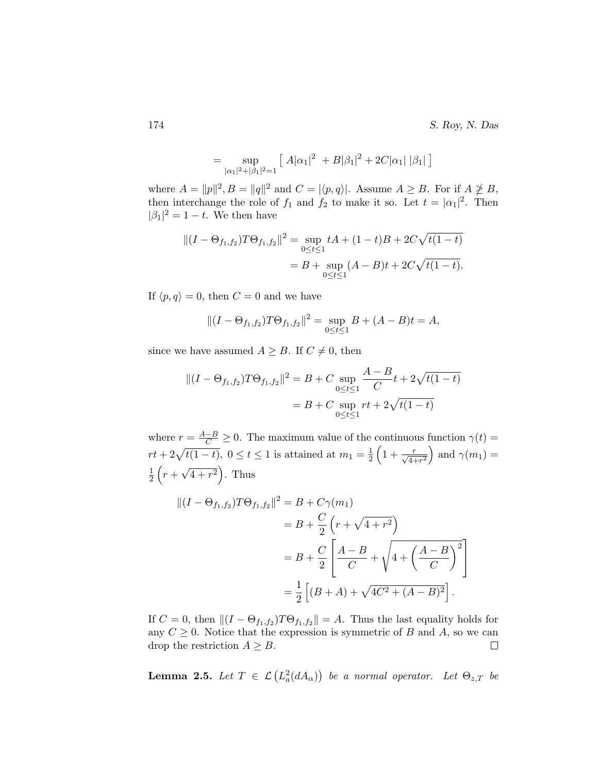$$
= \sup_{|\alpha_1|^2 + |\beta_1|^2 = 1} [A|\alpha_1|^2 + B|\beta_1|^2 + 2C|\alpha_1| |\beta_1|]
$$

where  $A = ||p||^2$ ,  $B = ||q||^2$  and  $C = |\langle p, q \rangle|$ . Assume  $A \ge B$ . For if  $A \not\ge B$ , then interchange the role of  $f_1$  and  $f_2$  to make it so. Let  $t = |\alpha_1|^2$ . Then  $|\beta_1|^2 = 1 - t$ . We then have

$$
||(I - \Theta_{f_1, f_2})T\Theta_{f_1, f_2}||^2 = \sup_{0 \le t \le 1} tA + (1 - t)B + 2C\sqrt{t(1 - t)}
$$
  
= B + \sup\_{0 \le t \le 1} (A - B)t + 2C\sqrt{t(1 - t)}.

If  $\langle p, q \rangle = 0$ , then  $C = 0$  and we have

$$
||(I - \Theta_{f_1, f_2})T\Theta_{f_1, f_2}||^2 = \sup_{0 \le t \le 1} B + (A - B)t = A,
$$

since we have assumed  $A \geq B$ . If  $C \neq 0$ , then

$$
||(I - \Theta_{f_1, f_2})T\Theta_{f_1, f_2}||^2 = B + C \sup_{0 \le t \le 1} \frac{A - B}{C}t + 2\sqrt{t(1 - t)}
$$
  
= B + C \sup\_{0 \le t \le 1} rt + 2\sqrt{t(1 - t)}

where  $r = \frac{A-B}{C} \ge 0$ . The maximum value of the continuous function  $\gamma(t) =$  $rt + 2\sqrt{t(1-t)}$ ,  $0 \le t \le 1$  is attained at  $m_1 = \frac{1}{2}$  $\frac{1}{2}\left(1+\frac{r}{\sqrt{4+r^2}}\right)$  and  $\gamma(m_1)$  = 1  $rac{1}{2}(r +$ √  $\overline{4+r^2}$ . Thus

$$
\begin{aligned} || (I - \Theta_{f_1, f_2}) T \Theta_{f_1, f_2} ||^2 &= B + C \gamma(m_1) \\ &= B + \frac{C}{2} \left( r + \sqrt{4 + r^2} \right) \\ &= B + \frac{C}{2} \left[ \frac{A - B}{C} + \sqrt{4 + \left( \frac{A - B}{C} \right)^2} \right] \\ &= \frac{1}{2} \left[ (B + A) + \sqrt{4C^2 + (A - B)^2} \right]. \end{aligned}
$$

If  $C = 0$ , then  $||(I - \Theta_{f_1,f_2})T\Theta_{f_1,f_2}|| = A$ . Thus the last equality holds for any  $C \geq 0$ . Notice that the expression is symmetric of B and A, so we can drop the restriction  $A \geq B$ .  $\Box$ 

**Lemma 2.5.** Let  $T \in \mathcal{L}(L^2_a(dA_\alpha))$  be a normal operator. Let  $\Theta_{z,T}$  be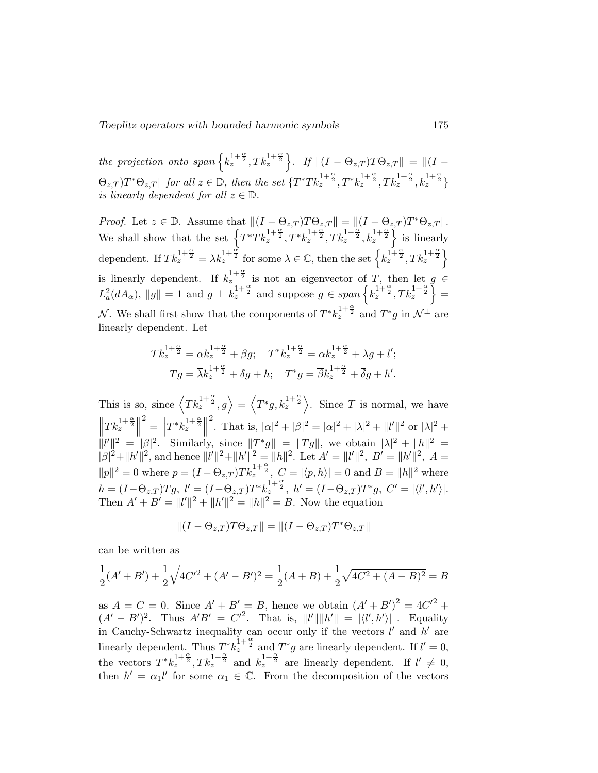Toeplitz operators with bounded harmonic symbols 175

the projection onto span  $\left\{k_z^{1+\frac{\alpha}{2}}, Tk_z^{1+\frac{\alpha}{2}}\right\}$ . If  $\|(I-\Theta_{z,T})T\Theta_{z,T}\| = \|(I-\Theta_{z,T})T\Theta_{z,T}\|$  $\Theta_{z,T}$ ) $T^*\Theta_{z,T}$ || for all  $z \in \mathbb{D}$ , then the set  $\{T^*Tk_z^{1+\frac{\alpha}{2}}, T^*k_z^{1+\frac{\alpha}{2}}, Tk_z^{1+\frac{\alpha}{2}}, k_z^{1+\frac{\alpha}{2}}\}$ is linearly dependent for all  $z \in \mathbb{D}$ .

*Proof.* Let  $z \in \mathbb{D}$ . Assume that  $||(I - \Theta_{z,T})T\Theta_{z,T}|| = ||(I - \Theta_{z,T})T^*\Theta_{z,T}||$ . We shall show that the set  $\left\{T^*Tk_z^{1+\frac{\alpha}{2}}, T^*k_z^{1+\frac{\alpha}{2}}, Tk_z^{1+\frac{\alpha}{2}}, k_z^{1+\frac{\alpha}{2}}\right\}$  is linearly dependent. If  $Tk_z^{1+\frac{\alpha}{2}} = \lambda k_z^{1+\frac{\alpha}{2}}$  for some  $\lambda \in \mathbb{C}$ , then the set  $\left\{ k_z^{1+\frac{\alpha}{2}}, T k_z^{1+\frac{\alpha}{2}} \right\}$ is linearly dependent. If  $k_z^{1+\frac{\alpha}{2}}$  is not an eigenvector of T, then let  $g \in$  $L^2_a(dA_\alpha)$ ,  $||g|| = 1$  and  $g \perp \tilde{k}_z^{1+\frac{\alpha}{2}}$  and suppose  $g \in span\left\{k_z^{1+\frac{\alpha}{2}}, Tk_z^{1+\frac{\alpha}{2}}\right\} =$ N. We shall first show that the components of  $T^* k_z^{1+\frac{\alpha}{2}}$  and  $T^* g$  in  $\mathcal{N}^{\perp}$  are linearly dependent. Let

$$
Tk_{z}^{1+\frac{\alpha}{2}} = \alpha k_{z}^{1+\frac{\alpha}{2}} + \beta g; \quad T^{*} k_{z}^{1+\frac{\alpha}{2}} = \overline{\alpha} k_{z}^{1+\frac{\alpha}{2}} + \lambda g + l';
$$

$$
Tg = \overline{\lambda} k_{z}^{1+\frac{\alpha}{2}} + \delta g + h; \quad T^{*} g = \overline{\beta} k_{z}^{1+\frac{\alpha}{2}} + \overline{\delta} g + h'.
$$

This is so, since  $\left\langle Tk_z^{1+\frac{\alpha}{2}},g\right\rangle = \overline{\left\langle T^*g,k_z^{1+\frac{\alpha}{2}}\right\rangle}$ . Since T is normal, we have  $\left\| Tk_z^{1+\frac{\alpha}{2}} \right\|$  $\begin{array}{ccc} \begin{array}{ccc} \parallel & \cdots & \parallel & \parallel & \parallel & \cdots & \parallel \ \parallel & \cdots & \parallel & \parallel & \end{array} \end{array}$  $\mathbf{E}^2 = \|T^*k_z^{1+\frac{\alpha}{2}}\|$ <sup>2</sup>. That is,  $|\alpha|^2 + |\beta|^2 = |\alpha|^2 + |\lambda|^2 + ||l'||^2$  or  $|\lambda|^2 +$  $||l'||^2 = |\beta|^2$ . Similarly, since  $||T^*g|| = ||Tg||$ , we obtain  $|\lambda|^2 + ||h||^2 =$  $|\beta|^2 + ||h'||^2$ , and hence  $||l'||^2 + ||h'||^2 = ||h||^2$ . Let  $A' = ||l'||^2$ ,  $B' = ||h'||^2$ ,  $A =$  $||p||^2 = 0$  where  $p = (I - \Theta_{z,T})T k_z^{1+\frac{\alpha}{2}}$ ,  $C = |\langle p, h \rangle| = 0$  and  $B = ||h||^2$  where  $h = (I - \Theta_{z,T})Tg, \; l' = (I - \Theta_{z,T})T^*k_z^{\frac{1+\frac{\alpha}{2}}{2}}, \; h' = (I - \Theta_{z,T})T^*g, \; C' = |\langle l',h'\rangle|.$ Then  $A' + B' = ||l'||^2 + ||h'||^2 = ||h||^2 = B$ . Now the equation

$$
\|(I-\Theta_{z,T})T\Theta_{z,T}\|=\|(I-\Theta_{z,T})T^*\Theta_{z,T}\|
$$

can be written as

$$
\frac{1}{2}(A' + B') + \frac{1}{2}\sqrt{4C'^2 + (A' - B')^2} = \frac{1}{2}(A + B) + \frac{1}{2}\sqrt{4C^2 + (A - B)^2} = B
$$

as  $A = C = 0$ . Since  $A' + B' = B$ , hence we obtain  $(A' + B')^{2} = 4C'^{2} +$  $(A'-B')^2$ . Thus  $A'B' = C'^2$ . That is,  $||l'|| ||h'|| = | \langle l', h' \rangle |$ . Equality in Cauchy-Schwartz inequality can occur only if the vectors  $l'$  and  $h'$  are linearly dependent. Thus  $T^*k_z^{\frac{1}{1+\frac{\alpha}{2}}}$  and  $T^*g$  are linearly dependent. If  $l'=0$ , the vectors  $T^*k_z^{1+\frac{\alpha}{2}}$ ,  $Tk_z^{1+\frac{\alpha}{2}}$  and  $k_z^{1+\frac{\alpha}{2}}$  are linearly dependent. If  $l' \neq 0$ , then  $h' = \alpha_1 l'$  for some  $\alpha_1 \in \mathbb{C}$ . From the decomposition of the vectors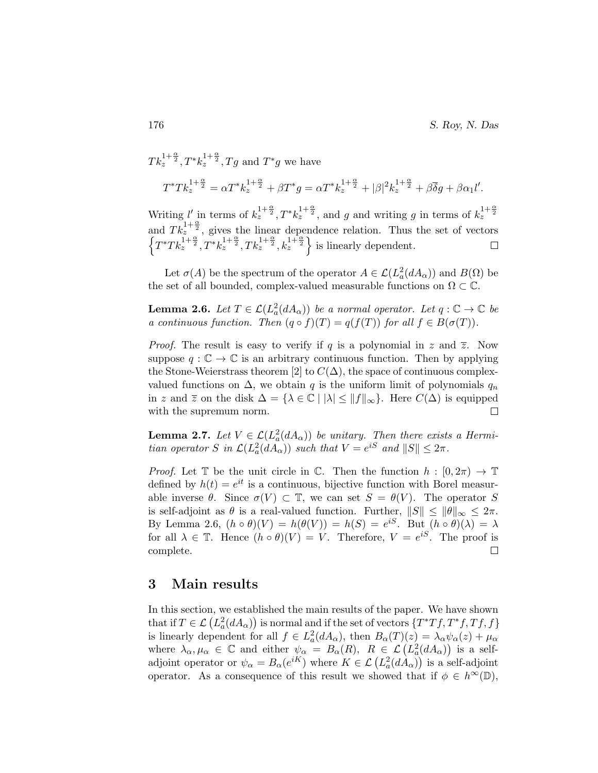$Tk_z^{1+\frac{\alpha}{2}}, T^*k_z^{1+\frac{\alpha}{2}}, Tg$  and  $T^*g$  we have  $T^*Tk_z^{1+\frac{\alpha}{2}} = \alpha T^*k_z^{1+\frac{\alpha}{2}} + \beta T^*g = \alpha T^*k_z^{1+\frac{\alpha}{2}} + |\beta|^2 k_z^{1+\frac{\alpha}{2}} + \beta \overline{\delta}g + \beta \alpha_1 l'.$ 

Writing *l'* in terms of  $k_z^{1+\frac{\alpha}{2}}$ ,  $T^* k_z^{1+\frac{\alpha}{2}}$ , and *g* and writing *g* in terms of  $k_z^{1+\frac{\alpha}{2}}$ and  $T k_{z}^{\frac{1}{2}+\frac{\alpha}{2}}$ , gives the linear dependence relation. Thus the set of vectors  $\left\{T^*Tk_z^{\frac{1}{1+\frac{\alpha}{2}}}, T^*k_z^{1+\frac{\alpha}{2}}, Tk_z^{1+\frac{\alpha}{2}}, k_z^{1+\frac{\alpha}{2}}\right\}$  is linearly dependent.

Let  $\sigma(A)$  be the spectrum of the operator  $A \in \mathcal{L}(L^2_a(dA_\alpha))$  and  $B(\Omega)$  be the set of all bounded, complex-valued measurable functions on  $\Omega \subset \mathbb{C}$ .

**Lemma 2.6.** Let  $T \in \mathcal{L}(L^2_a(dA_\alpha))$  be a normal operator. Let  $q : \mathbb{C} \to \mathbb{C}$  be a continuous function. Then  $(q \circ f)(T) = q(f(T))$  for all  $f \in B(\sigma(T))$ .

*Proof.* The result is easy to verify if q is a polynomial in z and  $\overline{z}$ . Now suppose  $q : \mathbb{C} \to \mathbb{C}$  is an arbitrary continuous function. Then by applying the Stone-Weierstrass theorem [2] to  $C(\Delta)$ , the space of continuous complexvalued functions on  $\Delta$ , we obtain q is the uniform limit of polynomials  $q_n$ in z and  $\overline{z}$  on the disk  $\Delta = {\lambda \in \mathbb{C} \mid |\lambda| \leq ||f||_{\infty}}$ . Here  $C(\Delta)$  is equipped with the supremum norm.  $\Box$ 

**Lemma 2.7.** Let  $V \in \mathcal{L}(L^2_a(dA_\alpha))$  be unitary. Then there exists a Hermitian operator S in  $\mathcal{L}(L_a^2(dA_\alpha))$  such that  $V = e^{iS}$  and  $||S|| \leq 2\pi$ .

*Proof.* Let  $\mathbb T$  be the unit circle in  $\mathbb C$ . Then the function  $h : [0, 2\pi) \to \mathbb T$ defined by  $h(t) = e^{it}$  is a continuous, bijective function with Borel measurable inverse  $\theta$ . Since  $\sigma(V) \subset \mathbb{T}$ , we can set  $S = \theta(V)$ . The operator S is self-adjoint as  $\theta$  is a real-valued function. Further,  $||S|| \le ||\theta||_{\infty} \le 2\pi$ . By Lemma 2.6,  $(h \circ \theta)(V) = h(\theta(V)) = h(S) = e^{iS}$ . But  $(h \circ \theta)(\lambda) = \lambda$ for all  $\lambda \in \mathbb{T}$ . Hence  $(h \circ \theta)(V) = V$ . Therefore,  $V = e^{iS}$ . The proof is complete.  $\Box$ 

### 3 Main results

In this section, we established the main results of the paper. We have shown that if  $T \in \mathcal{L}\left(L_a^2(dA_\alpha)\right)$  is normal and if the set of vectors  $\{T^*Tf, T^*f, Tf, f\}$ is linearly dependent for all  $f \in L^2_a(dA_\alpha)$ , then  $B_\alpha(T)(z) = \lambda_\alpha \psi_\alpha(z) + \mu_\alpha$ where  $\lambda_{\alpha}, \mu_{\alpha} \in \mathbb{C}$  and either  $\psi_{\alpha} = B_{\alpha}(R)$ ,  $R \in \mathcal{L}(L^2_a(dA_{\alpha}))$  is a selfadjoint operator or  $\psi_{\alpha} = B_{\alpha}(e^{iK})$  where  $K \in \mathcal{L}(L^2_a(dA_{\alpha}))$  is a self-adjoint operator. As a consequence of this result we showed that if  $\phi \in h^{\infty}(\mathbb{D}),$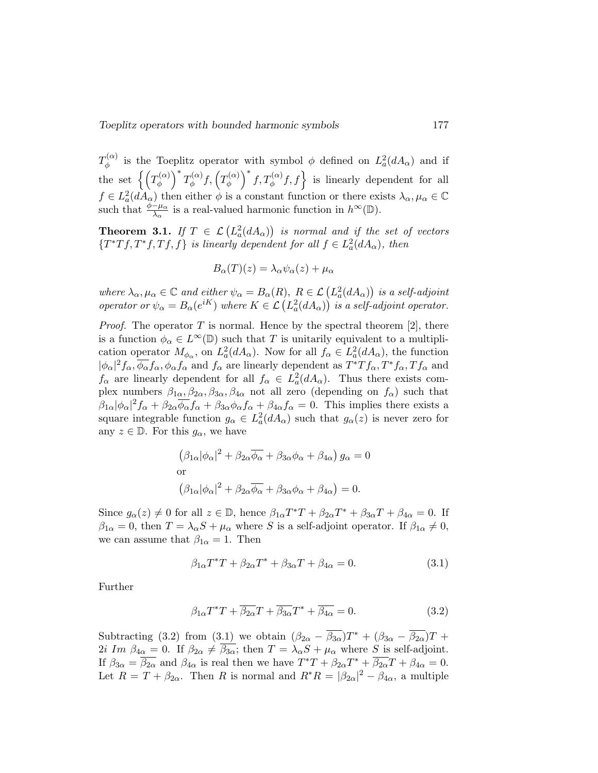$T^{(\alpha)}_{\phi}$  $\phi_{\phi}^{(\alpha)}$  is the Toeplitz operator with symbol  $\phi$  defined on  $L^2_a(dA_\alpha)$  and if the set  $\left\{ \left( T_{\phi }^{\left( \alpha \right) }\right)$  $\left(\begin{matrix} \alpha \\ \phi \end{matrix}\right)^* T_{\phi}^{(\alpha)}$  $f^{(\alpha)}_\phi f, \left(T^{(\alpha)}_\phi\right)$  $\phi_{\phi}^{(\alpha)}$   $\Big\}^{*} f, T_{\phi}^{(\alpha)} f, f \Big\}$  is linearly dependent for all  $f \in L^2_a(dA_\alpha)$  then either  $\phi$  is a constant function or there exists  $\lambda_\alpha, \mu_\alpha \in \mathbb{C}$ such that  $\frac{\phi-\mu_{\alpha}}{\lambda_{\alpha}}$  is a real-valued harmonic function in  $h^{\infty}(\mathbb{D})$ .

**Theorem 3.1.** If  $T \in \mathcal{L}(L_a^2(dA_\alpha))$  is normal and if the set of vectors  ${T^*Tf,T^*f,Tf,f}$  is linearly dependent for all  $f \in L^2_a(dA_\alpha)$ , then

$$
B_{\alpha}(T)(z) = \lambda_{\alpha} \psi_{\alpha}(z) + \mu_{\alpha}
$$

where  $\lambda_{\alpha}, \mu_{\alpha} \in \mathbb{C}$  and either  $\psi_{\alpha} = B_{\alpha}(R)$ ,  $R \in \mathcal{L}(L^2_a(dA_{\alpha}))$  is a self-adjoint operator or  $\psi_{\alpha} = B_{\alpha}(e^{iK})$  where  $K \in \mathcal{L}(L^2_a(dA_{\alpha}))$  is a self-adjoint operator.

*Proof.* The operator T is normal. Hence by the spectral theorem [2], there is a function  $\phi_{\alpha} \in L^{\infty}(\mathbb{D})$  such that T is unitarily equivalent to a multiplication operator  $M_{\phi_{\alpha}}$ , on  $L^2_a(dA_{\alpha})$ . Now for all  $f_{\alpha} \in L^2_a(dA_{\alpha})$ , the function  $|\phi_{\alpha}|^2 f_{\alpha}$ ,  $\overline{\phi_{\alpha}} f_{\alpha}$ ,  $\phi_{\alpha} f_{\alpha}$  and  $f_{\alpha}$  are linearly dependent as  $T^*Tf_{\alpha}$ ,  $T^*f_{\alpha}$ ,  $Tf_{\alpha}$  and  $f_{\alpha}$  are linearly dependent for all  $f_{\alpha} \in L^2_a(dA_{\alpha})$ . Thus there exists complex numbers  $\beta_{1\alpha}, \beta_{2\alpha}, \beta_{3\alpha}, \beta_{4\alpha}$  not all zero (depending on  $f_{\alpha}$ ) such that  $\beta_{1\alpha}|\phi_\alpha|^2 f_\alpha + \beta_{2\alpha} \overline{\phi_\alpha} f_\alpha + \beta_{3\alpha} \phi_\alpha f_\alpha + \beta_{4\alpha} f_\alpha = 0$ . This implies there exists a square integrable function  $g_{\alpha} \in L^2_a(dA_{\alpha})$  such that  $g_{\alpha}(z)$  is never zero for any  $z \in \mathbb{D}$ . For this  $g_{\alpha}$ , we have

$$
(\beta_{1\alpha}|\phi_{\alpha}|^2 + \beta_{2\alpha}\overline{\phi_{\alpha}} + \beta_{3\alpha}\phi_{\alpha} + \beta_{4\alpha}) g_{\alpha} = 0
$$
  
or  

$$
(\beta_{1\alpha}|\phi_{\alpha}|^2 + \beta_{2\alpha}\overline{\phi_{\alpha}} + \beta_{3\alpha}\phi_{\alpha} + \beta_{4\alpha}) = 0.
$$

Since  $g_{\alpha}(z) \neq 0$  for all  $z \in \mathbb{D}$ , hence  $\beta_{1\alpha}T^*T + \beta_{2\alpha}T^* + \beta_{3\alpha}T + \beta_{4\alpha} = 0$ . If  $\beta_{1\alpha} = 0$ , then  $T = \lambda_{\alpha} S + \mu_{\alpha}$  where S is a self-adjoint operator. If  $\beta_{1\alpha} \neq 0$ , we can assume that  $\beta_{1\alpha} = 1$ . Then

$$
\beta_{1\alpha}T^*T + \beta_{2\alpha}T^* + \beta_{3\alpha}T + \beta_{4\alpha} = 0.
$$
\n(3.1)

Further

$$
\beta_{1\alpha}T^*T + \overline{\beta_{2\alpha}}T + \overline{\beta_{3\alpha}}T^* + \overline{\beta_{4\alpha}} = 0.
$$
 (3.2)

Subtracting (3.2) from (3.1) we obtain  $(\beta_{2\alpha} - \overline{\beta_{3\alpha}})T^* + (\beta_{3\alpha} - \overline{\beta_{2\alpha}})T +$ 2i Im  $\beta_{4\alpha} = 0$ . If  $\beta_{2\alpha} \neq \overline{\beta_{3\alpha}}$ ; then  $T = \lambda_{\alpha}S + \mu_{\alpha}$  where S is self-adjoint. If  $\beta_{3\alpha} = \overline{\beta_{2\alpha}}$  and  $\beta_{4\alpha}$  is real then we have  $T^*T + \beta_{2\alpha}T^* + \overline{\beta_{2\alpha}}T + \beta_{4\alpha} = 0$ . Let  $R = T + \beta_{2\alpha}$ . Then R is normal and  $R^*R = |\beta_{2\alpha}|^2 - \beta_{4\alpha}$ , a multiple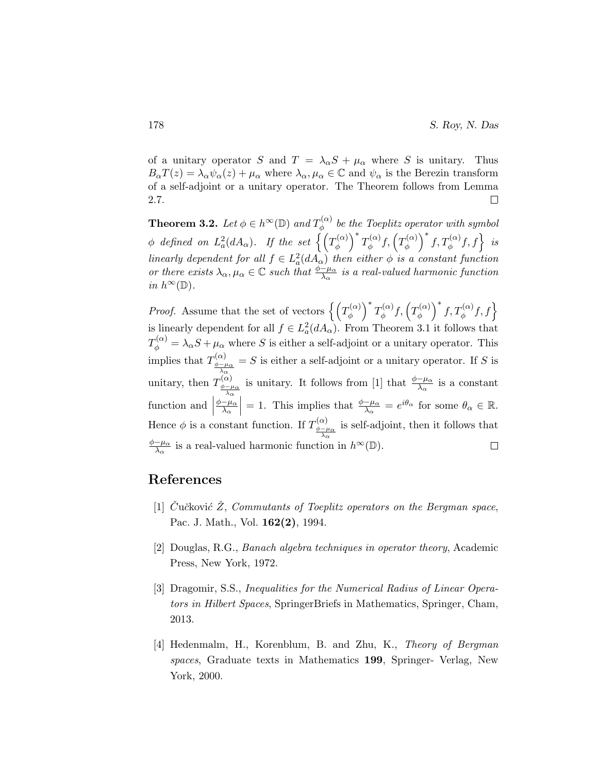of a unitary operator S and  $T = \lambda_{\alpha} S + \mu_{\alpha}$  where S is unitary. Thus  $B_{\alpha}T(z) = \lambda_{\alpha}\psi_{\alpha}(z) + \mu_{\alpha}$  where  $\lambda_{\alpha}, \mu_{\alpha} \in \mathbb{C}$  and  $\psi_{\alpha}$  is the Berezin transform of a self-adjoint or a unitary operator. The Theorem follows from Lemma 2.7. □

**Theorem 3.2.** Let  $\phi \in h^{\infty}(\mathbb{D})$  and  $T_{\phi}^{(\alpha)}$  $\phi_{\phi}^{(\alpha)}$  be the Toeplitz operator with symbol  $\phi$  defined on  $L^2_a(dA_\alpha).$  If the set  $\left\{\left(T^{(\alpha)}_\phi\right)$  $\left(\begin{matrix} \alpha \\ \phi \end{matrix}\right)^* T_{\phi}^{(\alpha)}$  $f^{(\alpha)}_\phi f,\left(T^{(\alpha)}_\phi\right)$  $\left\{\begin{matrix} \alpha \\ \phi \end{matrix}\right\}^* f, T_{\phi}^{(\alpha)} f, f$  is linearly dependent for all  $f \in L^2_a(dA_\alpha)$  then either  $\phi$  is a constant function or there exists  $\lambda_{\alpha}, \mu_{\alpha} \in \mathbb{C}$  such that  $\frac{\phi - \mu_{\alpha}}{\lambda_{\alpha}}$  is a real-valued harmonic function in  $h^{\infty}(\mathbb{D})$ .

 $\left(\begin{matrix} \alpha \\ \phi \end{matrix}\right)^* T_{\phi}^{(\alpha)}$  $\left\{\begin{matrix} \alpha \\ \phi \end{matrix}\right\}^* f, T_{\phi}^{(\alpha)} f, f$ *Proof.* Assume that the set of vectors  $\left\{ \left( T^{\alpha}_{\phi}\right) \right\}$  $f^{(\alpha)}_\phi f,\left(T^{(\alpha)}_\phi\right)$ is linearly dependent for all  $f \in L^2_a(dA_\alpha)$ . From Theorem 3.1 it follows that  $T_{\phi}^{(\alpha)} = \lambda_{\alpha} S + \mu_{\alpha}$  where S is either a self-adjoint or a unitary operator. This implies that  $T^{(\alpha)}_{\phi-\mu}$  $= S$  is either a self-adjoint or a unitary operator. If S is  $\frac{\phi-\mu_{\alpha}}{\lambda_{\alpha}}$ unitary, then  $T^{(\alpha)}_{\phi-\mu}$ is unitary. It follows from [1] that  $\frac{\phi - \mu_{\alpha}}{\lambda_{\alpha}}$  is a constant φ−µα λα function and  $\Big|$ = 1. This implies that  $\frac{\phi-\mu_{\alpha}}{\lambda_{\alpha}} = e^{i\theta_{\alpha}}$  for some  $\theta_{\alpha} \in \mathbb{R}$ .  $\phi-\mu_\alpha$  $\overline{\lambda_{\alpha}}$ Hence  $\phi$  is a constant function. If  $T_{\phi-\mu}^{(\alpha)}$ is self-adjoint, then it follows that  $\frac{\phi-\mu_{\alpha}}{\lambda_{\alpha}}$  $\phi-\mu_\alpha$  $\frac{-\mu_{\alpha}}{\lambda_{\alpha}}$  is a real-valued harmonic function in  $h^{\infty}(\mathbb{D})$ .  $\Box$ 

# References

- [1] Cučković Z, Commutants of Toeplitz operators on the Bergman space, Pac. J. Math., Vol. 162(2), 1994.
- [2] Douglas, R.G., Banach algebra techniques in operator theory, Academic Press, New York, 1972.
- [3] Dragomir, S.S., Inequalities for the Numerical Radius of Linear Operators in Hilbert Spaces, SpringerBriefs in Mathematics, Springer, Cham, 2013.
- [4] Hedenmalm, H., Korenblum, B. and Zhu, K., Theory of Bergman spaces, Graduate texts in Mathematics 199, Springer- Verlag, New York, 2000.